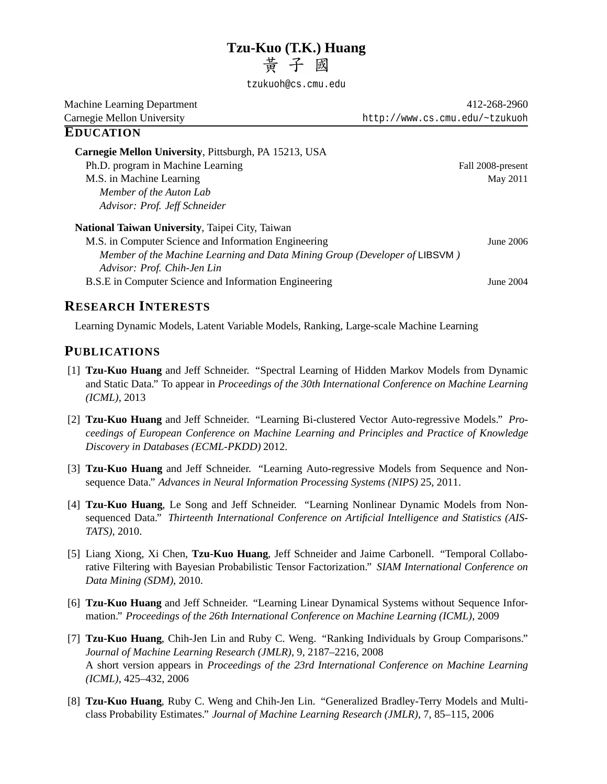# **Tzu-Kuo (T.K.) Huang**<br>昔子國

tzukuoh@cs.cmu.edu

Machine Learning Department 412-268-2960 Carnegie Mellon University http://www.cs.cmu.edu/~tzukuoh **EDUCATION Carnegie Mellon University**, Pittsburgh, PA 15213, USA Ph.D. program in Machine Learning Fall 2008-present

M.S. in Machine Learning May 2011 *Member of the Auton Lab Advisor: Prof. Jeff Schneider*

**National Taiwan University**, Taipei City, Taiwan M.S. in Computer Science and Information Engineering June 2006 *Member of the Machine Learning and Data Mining Group (Developer of* LIBSVM *) Advisor: Prof. Chih-Jen Lin* B.S.E in Computer Science and Information Engineering June 2004

# **RESEARCH INTERESTS**

Learning Dynamic Models, Latent Variable Models, Ranking, Large-scale Machine Learning

# **PUBLICATIONS**

- [1] **Tzu-Kuo Huang** and Jeff Schneider. "Spectral Learning of Hidden Markov Models from Dynamic and Static Data." To appear in *Proceedings of the 30th International Conference on Machine Learning (ICML)*, 2013
- [2] **Tzu-Kuo Huang** and Jeff Schneider. "Learning Bi-clustered Vector Auto-regressive Models." *Proceedings of European Conference on Machine Learning and Principles and Practice of Knowledge Discovery in Databases (ECML-PKDD)* 2012.
- [3] **Tzu-Kuo Huang** and Jeff Schneider. "Learning Auto-regressive Models from Sequence and Nonsequence Data." *Advances in Neural Information Processing Systems (NIPS)* 25, 2011.
- [4] **Tzu-Kuo Huang**, Le Song and Jeff Schneider. "Learning Nonlinear Dynamic Models from Nonsequenced Data." *Thirteenth International Conference on Artificial Intelligence and Statistics (AIS-TATS)*, 2010.
- [5] Liang Xiong, Xi Chen, **Tzu-Kuo Huang**, Jeff Schneider and Jaime Carbonell. "Temporal Collaborative Filtering with Bayesian Probabilistic Tensor Factorization." *SIAM International Conference on Data Mining (SDM)*, 2010.
- [6] **Tzu-Kuo Huang** and Jeff Schneider. "Learning Linear Dynamical Systems without Sequence Information." *Proceedings of the 26th International Conference on Machine Learning (ICML)*, 2009
- [7] **Tzu-Kuo Huang**, Chih-Jen Lin and Ruby C. Weng. "Ranking Individuals by Group Comparisons." *Journal of Machine Learning Research (JMLR)*, 9, 2187–2216, 2008 A short version appears in *Proceedings of the 23rd International Conference on Machine Learning (ICML)*, 425–432, 2006
- [8] **Tzu-Kuo Huang**, Ruby C. Weng and Chih-Jen Lin. "Generalized Bradley-Terry Models and Multiclass Probability Estimates." *Journal of Machine Learning Research (JMLR)*, 7, 85–115, 2006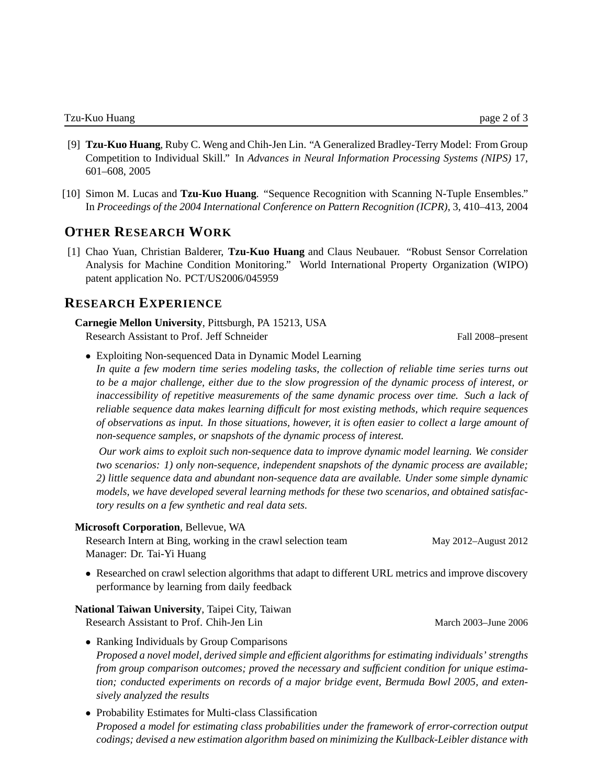- [9] **Tzu-Kuo Huang**, Ruby C. Weng and Chih-Jen Lin. "A Generalized Bradley-Terry Model: From Group Competition to Individual Skill." In *Advances in Neural Information Processing Systems (NIPS)* 17, 601–608, 2005
- [10] Simon M. Lucas and **Tzu-Kuo Huang**. "Sequence Recognition with Scanning N-Tuple Ensembles." In *Proceedings of the 2004 International Conference on Pattern Recognition (ICPR)*, 3, 410–413, 2004

## **OTHER RESEARCH WORK**

[1] Chao Yuan, Christian Balderer, **Tzu-Kuo Huang** and Claus Neubauer. "Robust Sensor Correlation Analysis for Machine Condition Monitoring." World International Property Organization (WIPO) patent application No. PCT/US2006/045959

## **RESEARCH EXPERIENCE**

**Carnegie Mellon University**, Pittsburgh, PA 15213, USA Research Assistant to Prof. Jeff Schneider Fall 2008–present

• Exploiting Non-sequenced Data in Dynamic Model Learning

*In quite a few modern time series modeling tasks, the collection of reliable time series turns out to be a major challenge, either due to the slow progression of the dynamic process of interest, or inaccessibility of repetitive measurements of the same dynamic process over time. Such a lack of reliable sequence data makes learning difficult for most existing methods, which require sequences of observations as input. In those situations, however, it is often easier to collect a large amount of non-sequence samples, or snapshots of the dynamic process of interest.*

*Our work aims to exploit such non-sequence data to improve dynamic model learning. We consider two scenarios: 1) only non-sequence, independent snapshots of the dynamic process are available; 2) little sequence data and abundant non-sequence data are available. Under some simple dynamic models, we have developed several learning methods for these two scenarios, and obtained satisfactory results on a few synthetic and real data sets.*

#### **Microsoft Corporation**, Bellevue, WA

Research Intern at Bing, working in the crawl selection team May 2012–August 2012 Manager: Dr. Tai-Yi Huang

• Researched on crawl selection algorithms that adapt to different URL metrics and improve discovery performance by learning from daily feedback

**National Taiwan University**, Taipei City, Taiwan

Research Assistant to Prof. Chih-Jen Lin March 2003–June 2006

- Ranking Individuals by Group Comparisons *Proposed a novel model, derived simple and efficient algorithms for estimating individuals' strengths from group comparison outcomes; proved the necessary and sufficient condition for unique estimation; conducted experiments on records of a major bridge event, Bermuda Bowl 2005, and extensively analyzed the results*
- Probability Estimates for Multi-class Classification *Proposed a model for estimating class probabilities under the framework of error-correction output codings; devised a new estimation algorithm based on minimizing the Kullback-Leibler distance with*